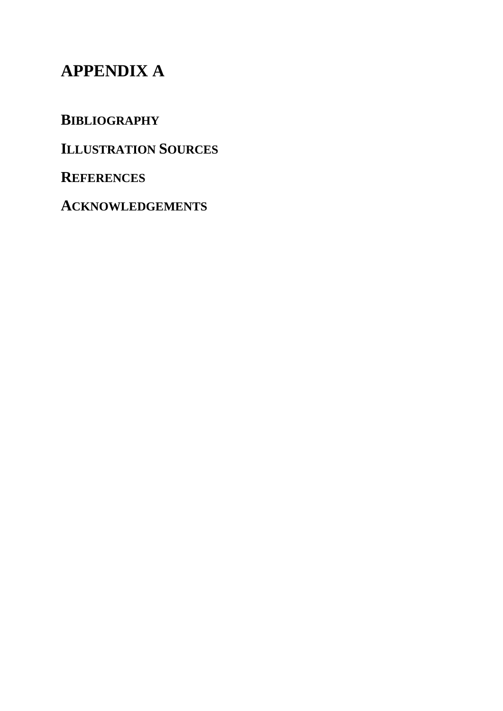# **APPENDIX A**

**BIBLIOGRAPHY** 

**ILLUSTRATION SOURCES**

**REFERENCES** 

**ACKNOWLEDGEMENTS**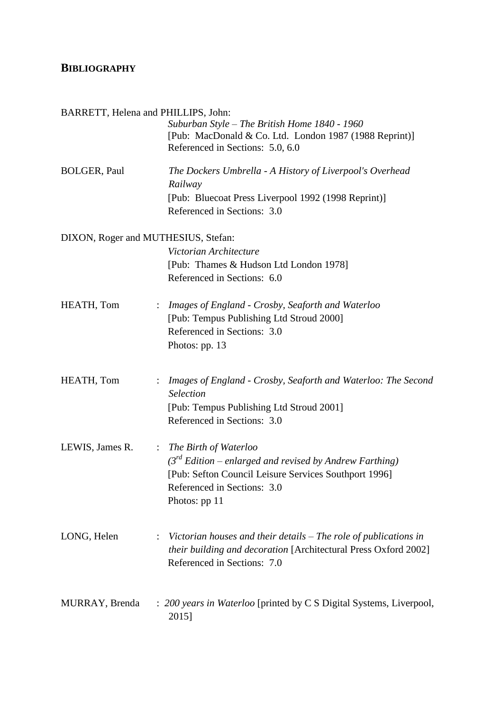#### **BIBLIOGRAPHY**

| BARRETT, Helena and PHILLIPS, John: |                                                                                                                                                                                                                       |
|-------------------------------------|-----------------------------------------------------------------------------------------------------------------------------------------------------------------------------------------------------------------------|
|                                     | Suburban Style – The British Home 1840 - 1960<br>[Pub: MacDonald & Co. Ltd. London 1987 (1988 Reprint)]<br>Referenced in Sections: 5.0, 6.0                                                                           |
| <b>BOLGER, Paul</b>                 | The Dockers Umbrella - A History of Liverpool's Overhead<br>Railway<br>[Pub: Bluecoat Press Liverpool 1992 (1998 Reprint)]<br>Referenced in Sections: 3.0                                                             |
| DIXON, Roger and MUTHESIUS, Stefan: |                                                                                                                                                                                                                       |
|                                     | Victorian Architecture<br>[Pub: Thames & Hudson Ltd London 1978]<br>Referenced in Sections: 6.0                                                                                                                       |
| HEATH, Tom                          | Images of England - Crosby, Seaforth and Waterloo<br>$\ddot{\phantom{a}}$<br>[Pub: Tempus Publishing Ltd Stroud 2000]<br>Referenced in Sections: 3.0<br>Photos: pp. 13                                                |
| HEATH, Tom                          | Images of England - Crosby, Seaforth and Waterloo: The Second<br>÷.<br>Selection<br>[Pub: Tempus Publishing Ltd Stroud 2001]<br>Referenced in Sections: 3.0                                                           |
| LEWIS, James R.                     | The Birth of Waterloo<br>$\ddot{\phantom{a}}$<br>$3^{rd}$ Edition – enlarged and revised by Andrew Farthing)<br>[Pub: Sefton Council Leisure Services Southport 1996]<br>Referenced in Sections: 3.0<br>Photos: pp 11 |
| LONG, Helen                         | Victorian houses and their details $-$ The role of publications in<br><i>their building and decoration</i> [Architectural Press Oxford 2002]<br>Referenced in Sections: 7.0                                           |
| MURRAY, Brenda                      | : 200 years in Waterloo [printed by C S Digital Systems, Liverpool,<br>2015]                                                                                                                                          |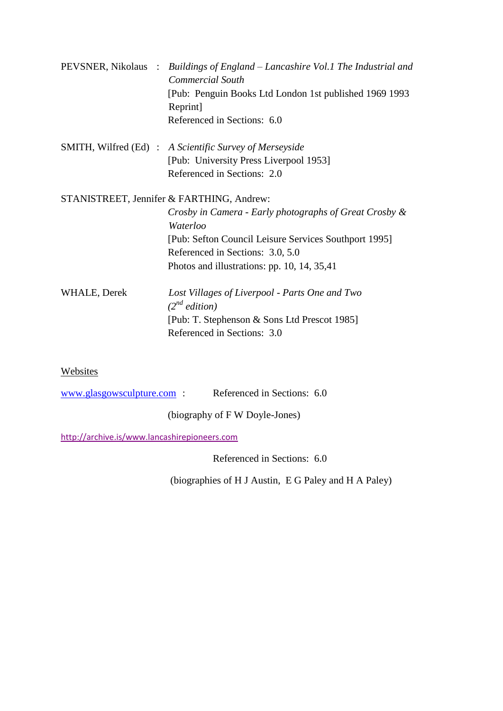|              | PEVSNER, Nikolaus : Buildings of England – Lancashire Vol.1 The Industrial and<br><b>Commercial South</b> |
|--------------|-----------------------------------------------------------------------------------------------------------|
|              | [Pub: Penguin Books Ltd London 1st published 1969 1993]<br>Reprint]                                       |
|              | Referenced in Sections: 6.0                                                                               |
|              | SMITH, Wilfred (Ed) : A Scientific Survey of Merseyside                                                   |
|              | [Pub: University Press Liverpool 1953]                                                                    |
|              | Referenced in Sections: 2.0                                                                               |
|              | STANISTREET, Jennifer & FARTHING, Andrew:                                                                 |
|              | Crosby in Camera - Early photographs of Great Crosby &<br>Waterloo                                        |
|              | [Pub: Sefton Council Leisure Services Southport 1995]                                                     |
|              | Referenced in Sections: 3.0, 5.0                                                                          |
|              | Photos and illustrations: pp. 10, 14, $35,41$                                                             |
| WHALE, Derek | Lost Villages of Liverpool - Parts One and Two<br>$(2^{nd}$ edition)                                      |
|              | [Pub: T. Stephenson & Sons Ltd Prescot 1985]                                                              |
|              | Referenced in Sections: 3.0                                                                               |
|              |                                                                                                           |

#### Websites

[www.glasgowsculpture.com](http://www.glasgowsculpture.com/) : Referenced in Sections: 6.0

(biography of F W Doyle-Jones)

<http://archive.is/www.lancashirepioneers.com>

Referenced in Sections: 6.0

(biographies of H J Austin, E G Paley and H A Paley)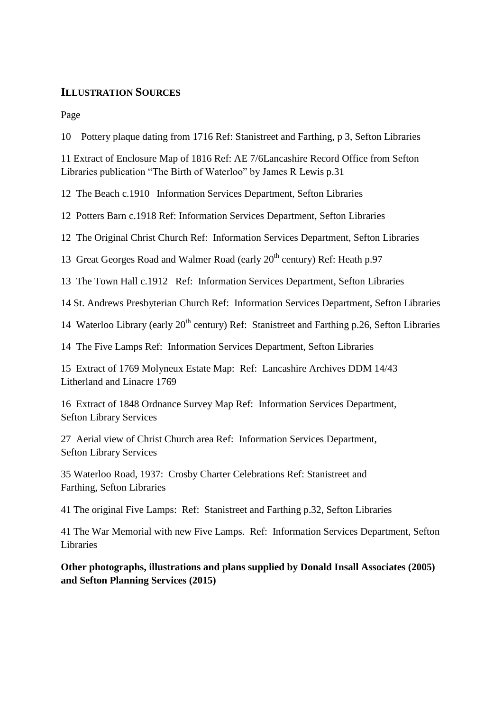#### **ILLUSTRATION SOURCES**

Page

10 Pottery plaque dating from 1716 Ref: Stanistreet and Farthing, p 3, Sefton Libraries

11 Extract of Enclosure Map of 1816 Ref: AE 7/6Lancashire Record Office from Sefton Libraries publication "The Birth of Waterloo" by James R Lewis p.31

12 The Beach c.1910 Information Services Department, Sefton Libraries

12 Potters Barn c.1918 Ref: Information Services Department, Sefton Libraries

12 The Original Christ Church Ref: Information Services Department, Sefton Libraries

13 Great Georges Road and Walmer Road (early 20<sup>th</sup> century) Ref: Heath p.97

13 The Town Hall c.1912 Ref: Information Services Department, Sefton Libraries

14 St. Andrews Presbyterian Church Ref: Information Services Department, Sefton Libraries

14 Waterloo Library (early 20<sup>th</sup> century) Ref: Stanistreet and Farthing p.26, Sefton Libraries

14 The Five Lamps Ref: Information Services Department, Sefton Libraries

15 Extract of 1769 Molyneux Estate Map: Ref: Lancashire Archives DDM 14/43 Litherland and Linacre 1769

16 Extract of 1848 Ordnance Survey Map Ref: Information Services Department, Sefton Library Services

27 Aerial view of Christ Church area Ref: Information Services Department, Sefton Library Services

35 Waterloo Road, 1937: Crosby Charter Celebrations Ref: Stanistreet and Farthing, Sefton Libraries

41 The original Five Lamps: Ref: Stanistreet and Farthing p.32, Sefton Libraries

41 The War Memorial with new Five Lamps. Ref: Information Services Department, Sefton Libraries

**Other photographs, illustrations and plans supplied by Donald Insall Associates (2005) and Sefton Planning Services (2015)**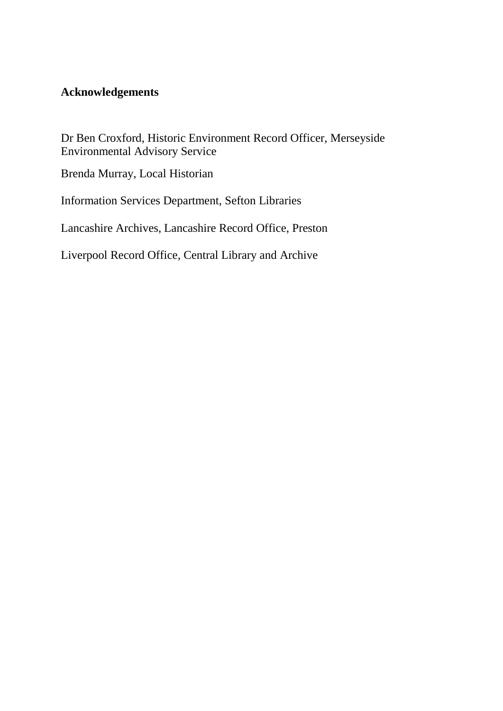#### **Acknowledgements**

Dr Ben Croxford, Historic Environment Record Officer, Merseyside Environmental Advisory Service

Brenda Murray, Local Historian

Information Services Department, Sefton Libraries

Lancashire Archives, Lancashire Record Office, Preston

Liverpool Record Office, Central Library and Archive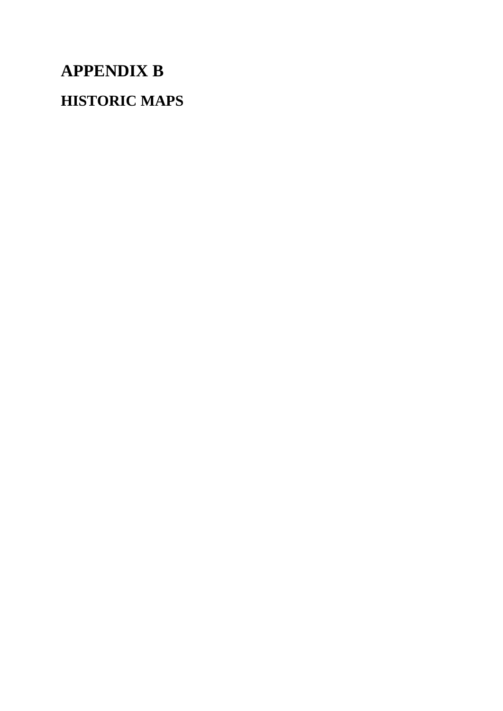# **APPENDIX B HISTORIC MAPS**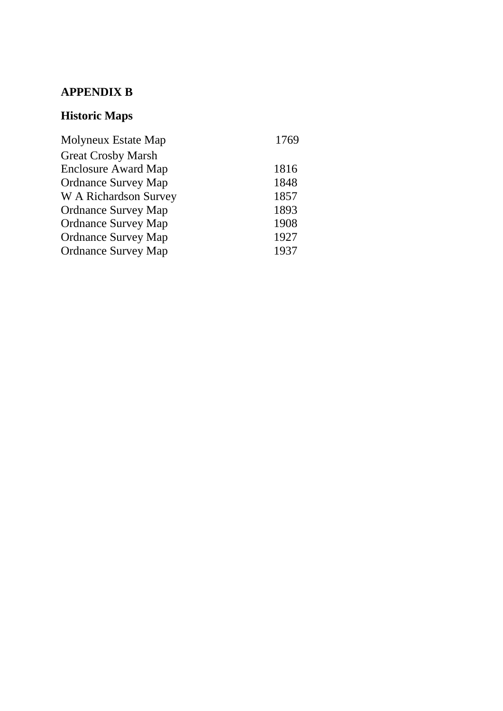### **APPENDIX B**

## **Historic Maps**

| Molyneux Estate Map          | 1769 |
|------------------------------|------|
| <b>Great Crosby Marsh</b>    |      |
| <b>Enclosure Award Map</b>   | 1816 |
| <b>Ordnance Survey Map</b>   | 1848 |
| <b>W</b> A Richardson Survey | 1857 |
| <b>Ordnance Survey Map</b>   | 1893 |
| <b>Ordnance Survey Map</b>   | 1908 |
| <b>Ordnance Survey Map</b>   | 1927 |
| <b>Ordnance Survey Map</b>   | 1937 |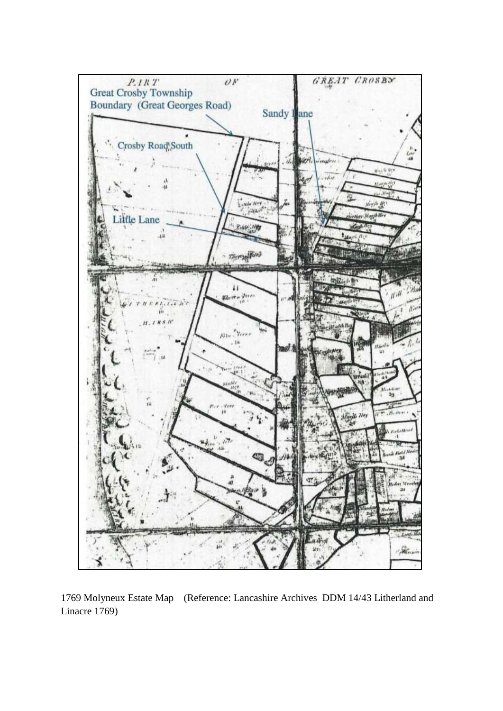

1769 Molyneux Estate Map (Reference: Lancashire Archives DDM 14/43 Litherland and Linacre 1769)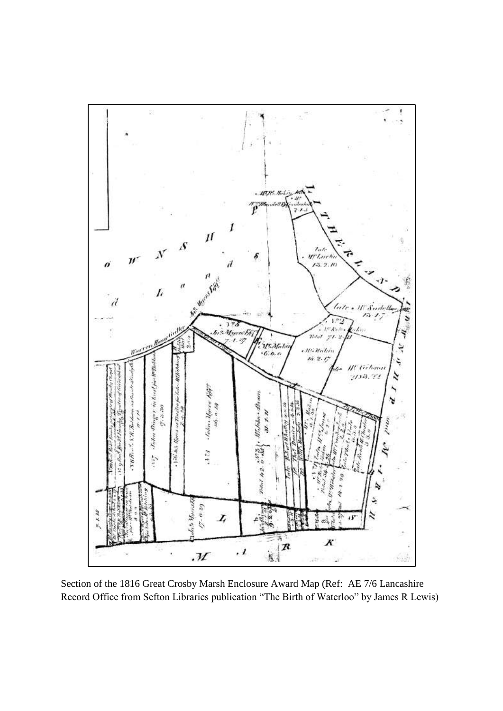

Section of the 1816 Great Crosby Marsh Enclosure Award Map (Ref: AE 7/6 Lancashire Record Office from Sefton Libraries publication "The Birth of Waterloo" by James R Lewis)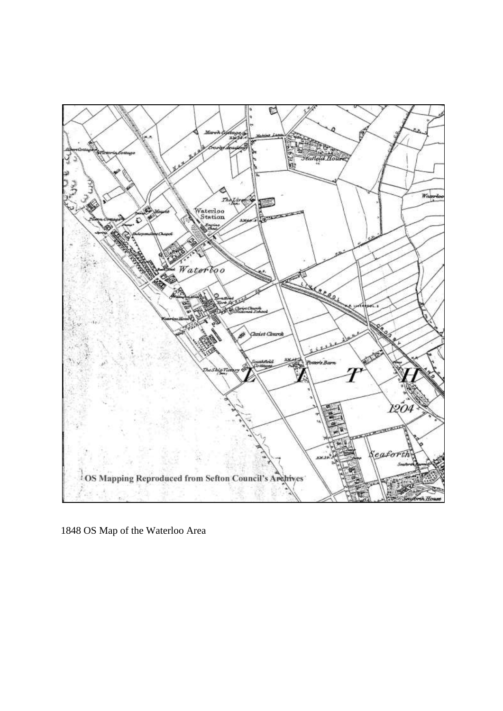

OS Map of the Waterloo Area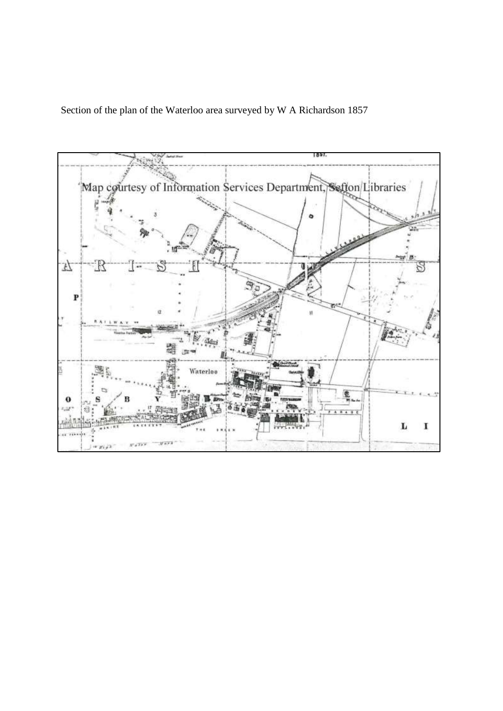Section of the plan of the Waterloo area surveyed by W A Richardson 1857

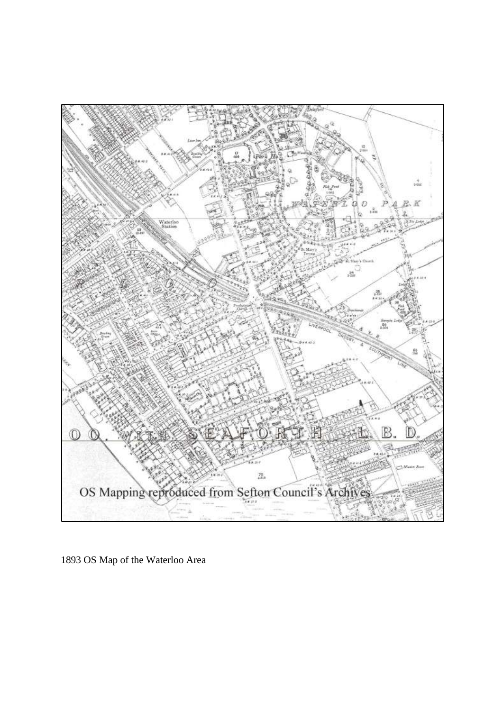

1893 OS Map of the Waterloo Area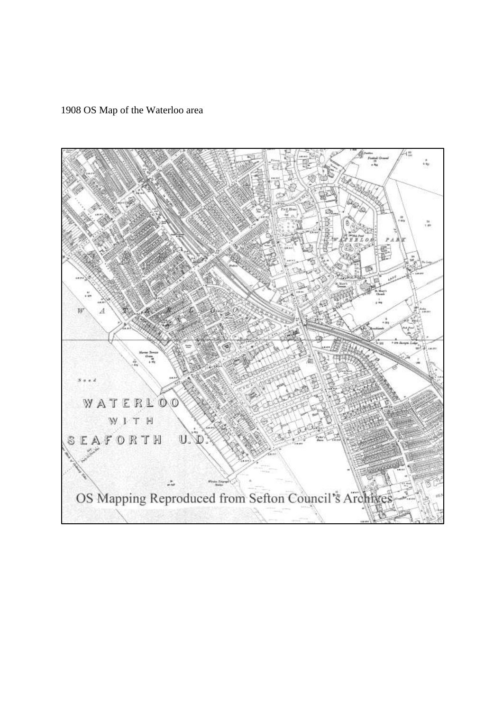1908 OS Map of the Waterloo area

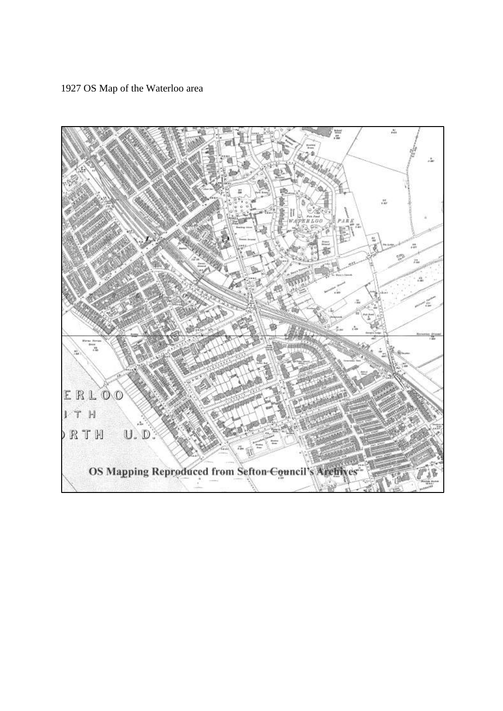1927 OS Map of the Waterloo area